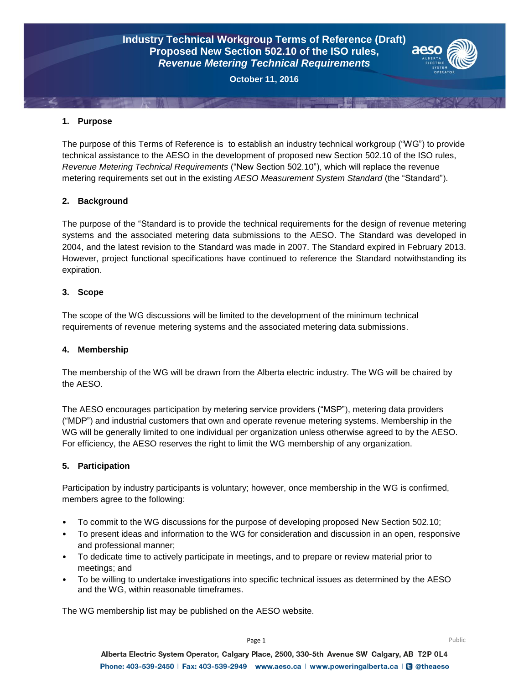# **Industry Technical Workgroup Terms of Reference (Draft) Proposed New Section 502.10 of the ISO rules,** *Revenue Metering Technical Requirements*



**October 11, 2016**

## **1. Purpose**

The purpose of this Terms of Reference is to establish an industry technical workgroup ("WG") to provide technical assistance to the AESO in the development of proposed new Section 502.10 of the ISO rules, *Revenue Metering Technical Requirements* ("New Section 502.10"), which will replace the revenue metering requirements set out in the existing *AESO Measurement System Standard* (the "Standard").

## **2. Background**

The purpose of the "Standard is to provide the technical requirements for the design of revenue metering systems and the associated metering data submissions to the AESO. The Standard was developed in 2004, and the latest revision to the Standard was made in 2007. The Standard expired in February 2013. However, project functional specifications have continued to reference the Standard notwithstanding its expiration.

## **3. Scope**

The scope of the WG discussions will be limited to the development of the minimum technical requirements of revenue metering systems and the associated metering data submissions.

#### **4. Membership**

The membership of the WG will be drawn from the Alberta electric industry. The WG will be chaired by the AESO.

The AESO encourages participation by metering service providers ("MSP"), metering data providers ("MDP") and industrial customers that own and operate revenue metering systems. Membership in the WG will be generally limited to one individual per organization unless otherwise agreed to by the AESO. For efficiency, the AESO reserves the right to limit the WG membership of any organization.

# **5. Participation**

Participation by industry participants is voluntary; however, once membership in the WG is confirmed, members agree to the following:

- To commit to the WG discussions for the purpose of developing proposed New Section 502.10;
- To present ideas and information to the WG for consideration and discussion in an open, responsive and professional manner;
- To dedicate time to actively participate in meetings, and to prepare or review material prior to meetings; and
- To be willing to undertake investigations into specific technical issues as determined by the AESO and the WG, within reasonable timeframes.

The WG membership list may be published on the AESO website.

Alberta Electric System Operator, Calgary Place, 2500, 330-5th Avenue SW Calgary, AB T2P 0L4 Phone: 403-539-2450 | Fax: 403-539-2949 | www.aeso.ca | www.poweringalberta.ca | 3 @theaeso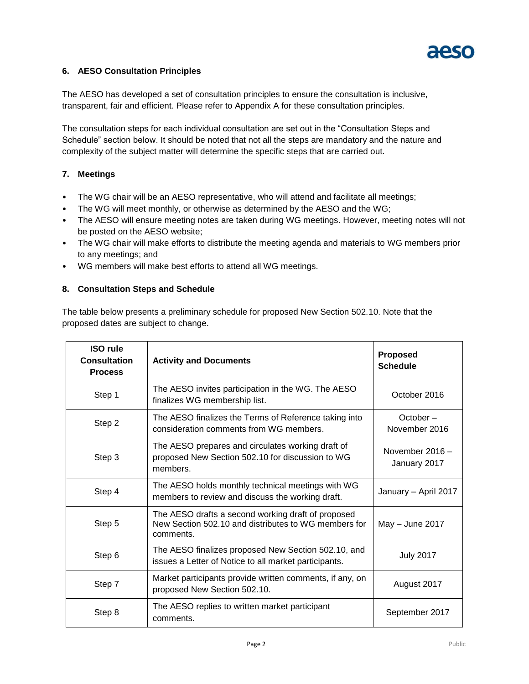

# **6. AESO Consultation Principles**

The AESO has developed a set of consultation principles to ensure the consultation is inclusive, transparent, fair and efficient. Please refer to Appendix A for these consultation principles.

The consultation steps for each individual consultation are set out in the "Consultation Steps and Schedule" section below. It should be noted that not all the steps are mandatory and the nature and complexity of the subject matter will determine the specific steps that are carried out.

# **7. Meetings**

- The WG chair will be an AESO representative, who will attend and facilitate all meetings;
- The WG will meet monthly, or otherwise as determined by the AESO and the WG;
- The AESO will ensure meeting notes are taken during WG meetings. However, meeting notes will not be posted on the AESO website;
- The WG chair will make efforts to distribute the meeting agenda and materials to WG members prior to any meetings; and
- WG members will make best efforts to attend all WG meetings.

#### **8. Consultation Steps and Schedule**

The table below presents a preliminary schedule for proposed New Section 502.10. Note that the proposed dates are subject to change.

| <b>ISO rule</b><br><b>Consultation</b><br><b>Process</b> | <b>Activity and Documents</b>                                                                                           | <b>Proposed</b><br><b>Schedule</b> |
|----------------------------------------------------------|-------------------------------------------------------------------------------------------------------------------------|------------------------------------|
| Step 1                                                   | The AESO invites participation in the WG. The AESO<br>finalizes WG membership list.                                     | October 2016                       |
| Step 2                                                   | The AESO finalizes the Terms of Reference taking into<br>consideration comments from WG members.                        | October –<br>November 2016         |
| Step 3                                                   | The AESO prepares and circulates working draft of<br>proposed New Section 502.10 for discussion to WG<br>members.       | November 2016 -<br>January 2017    |
| Step 4                                                   | The AESO holds monthly technical meetings with WG<br>members to review and discuss the working draft.                   | January - April 2017               |
| Step 5                                                   | The AESO drafts a second working draft of proposed<br>New Section 502.10 and distributes to WG members for<br>comments. | May $-$ June 2017                  |
| Step 6                                                   | The AESO finalizes proposed New Section 502.10, and<br>issues a Letter of Notice to all market participants.            | <b>July 2017</b>                   |
| Step 7                                                   | Market participants provide written comments, if any, on<br>proposed New Section 502.10.                                | August 2017                        |
| Step 8                                                   | The AESO replies to written market participant<br>comments.                                                             | September 2017                     |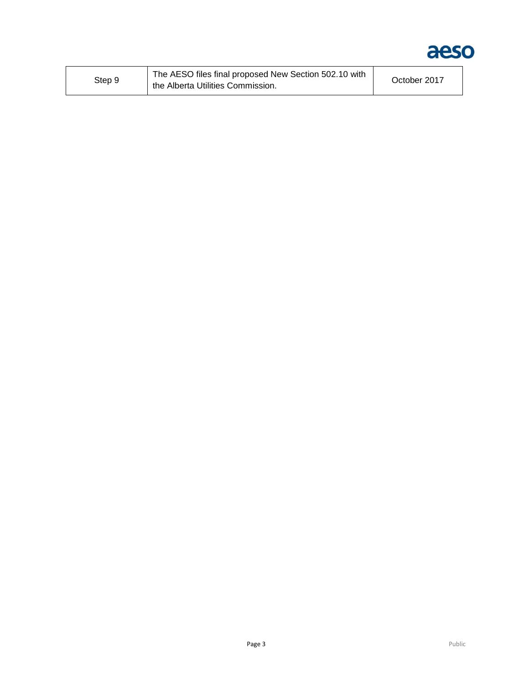

| Step 9 | The AESO files final proposed New Section 502.10 with<br>the Alberta Utilities Commission. | October 2017 |
|--------|--------------------------------------------------------------------------------------------|--------------|
|--------|--------------------------------------------------------------------------------------------|--------------|